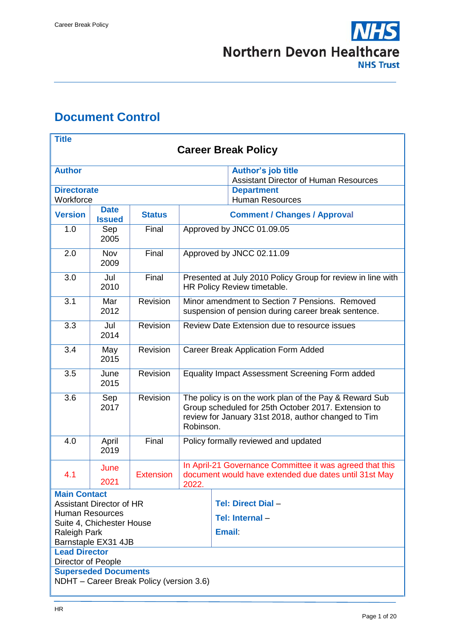

# <span id="page-0-0"></span>**Document Control**

| <b>Title</b>                                              |                                                                           |                  |                                                                                                                                                                                   |                                                                                                       |  |
|-----------------------------------------------------------|---------------------------------------------------------------------------|------------------|-----------------------------------------------------------------------------------------------------------------------------------------------------------------------------------|-------------------------------------------------------------------------------------------------------|--|
| <b>Career Break Policy</b>                                |                                                                           |                  |                                                                                                                                                                                   |                                                                                                       |  |
| <b>Author</b>                                             |                                                                           |                  |                                                                                                                                                                                   |                                                                                                       |  |
|                                                           | <b>Author's job title</b><br><b>Assistant Director of Human Resources</b> |                  |                                                                                                                                                                                   |                                                                                                       |  |
| <b>Directorate</b>                                        |                                                                           |                  |                                                                                                                                                                                   | <b>Department</b>                                                                                     |  |
| Workforce                                                 |                                                                           |                  |                                                                                                                                                                                   | <b>Human Resources</b>                                                                                |  |
| <b>Version</b>                                            | <b>Date</b><br><b>Issued</b>                                              | <b>Status</b>    |                                                                                                                                                                                   | <b>Comment / Changes / Approval</b>                                                                   |  |
| 1.0                                                       | Sep<br>2005                                                               | Final            |                                                                                                                                                                                   | Approved by JNCC 01.09.05                                                                             |  |
| 2.0                                                       | <b>Nov</b><br>2009                                                        | Final            |                                                                                                                                                                                   | Approved by JNCC 02.11.09                                                                             |  |
| 3.0                                                       | Jul<br>2010                                                               | Final            |                                                                                                                                                                                   | Presented at July 2010 Policy Group for review in line with<br>HR Policy Review timetable.            |  |
| 3.1                                                       | Mar<br>2012                                                               | Revision         |                                                                                                                                                                                   | Minor amendment to Section 7 Pensions. Removed<br>suspension of pension during career break sentence. |  |
| 3.3                                                       | Jul<br>2014                                                               | Revision         | Review Date Extension due to resource issues                                                                                                                                      |                                                                                                       |  |
| 3.4                                                       | May<br>2015                                                               | Revision         | <b>Career Break Application Form Added</b>                                                                                                                                        |                                                                                                       |  |
| 3.5                                                       | June<br>2015                                                              | Revision         | Equality Impact Assessment Screening Form added                                                                                                                                   |                                                                                                       |  |
| 3.6                                                       | Sep<br>2017                                                               | Revision         | The policy is on the work plan of the Pay & Reward Sub<br>Group scheduled for 25th October 2017. Extension to<br>review for January 31st 2018, author changed to Tim<br>Robinson. |                                                                                                       |  |
| 4.0                                                       | April<br>2019                                                             | Final            | Policy formally reviewed and updated                                                                                                                                              |                                                                                                       |  |
| 4.1                                                       | June                                                                      | <b>Extension</b> | In April-21 Governance Committee it was agreed that this<br>document would have extended due dates until 31st May                                                                 |                                                                                                       |  |
|                                                           | 2021<br>2022.                                                             |                  |                                                                                                                                                                                   |                                                                                                       |  |
| <b>Main Contact</b>                                       |                                                                           |                  |                                                                                                                                                                                   |                                                                                                       |  |
| <b>Assistant Director of HR</b><br><b>Human Resources</b> |                                                                           |                  |                                                                                                                                                                                   | Tel: Direct Dial -                                                                                    |  |
| Suite 4, Chichester House                                 |                                                                           |                  |                                                                                                                                                                                   | Tel: Internal -                                                                                       |  |
| Raleigh Park                                              |                                                                           |                  |                                                                                                                                                                                   | <b>Email</b>                                                                                          |  |
| Barnstaple EX31 4JB                                       |                                                                           |                  |                                                                                                                                                                                   |                                                                                                       |  |
| <b>Lead Director</b><br>Director of People                |                                                                           |                  |                                                                                                                                                                                   |                                                                                                       |  |
| <b>Superseded Documents</b>                               |                                                                           |                  |                                                                                                                                                                                   |                                                                                                       |  |
| NDHT - Career Break Policy (version 3.6)                  |                                                                           |                  |                                                                                                                                                                                   |                                                                                                       |  |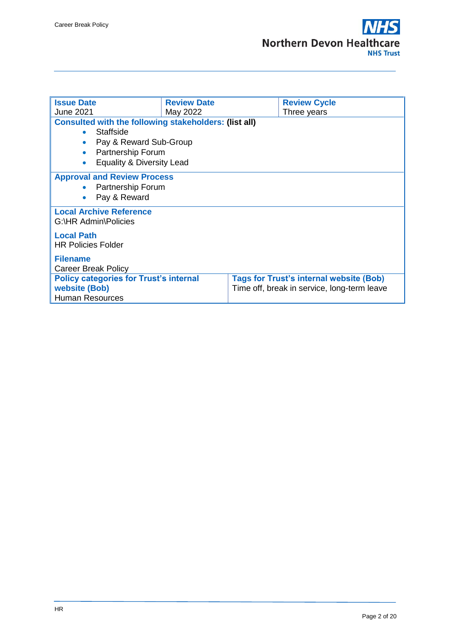| <b>Issue Date</b>                                                                                                                                               | <b>Review Date</b> |  | <b>Review Cycle</b> |  |  |  |
|-----------------------------------------------------------------------------------------------------------------------------------------------------------------|--------------------|--|---------------------|--|--|--|
| <b>June 2021</b>                                                                                                                                                | May 2022           |  | Three years         |  |  |  |
| <b>Consulted with the following stakeholders: (list all)</b>                                                                                                    |                    |  |                     |  |  |  |
| Staffside<br>$\bullet$                                                                                                                                          |                    |  |                     |  |  |  |
| Pay & Reward Sub-Group<br>$\bullet$                                                                                                                             |                    |  |                     |  |  |  |
| Partnership Forum<br>$\bullet$                                                                                                                                  |                    |  |                     |  |  |  |
| Equality & Diversity Lead<br>$\bullet$                                                                                                                          |                    |  |                     |  |  |  |
| <b>Approval and Review Process</b>                                                                                                                              |                    |  |                     |  |  |  |
| <b>Partnership Forum</b>                                                                                                                                        |                    |  |                     |  |  |  |
| Pay & Reward                                                                                                                                                    |                    |  |                     |  |  |  |
| <b>Local Archive Reference</b><br>G:\HR Admin\Policies                                                                                                          |                    |  |                     |  |  |  |
| <b>Local Path</b>                                                                                                                                               |                    |  |                     |  |  |  |
| <b>HR Policies Folder</b>                                                                                                                                       |                    |  |                     |  |  |  |
|                                                                                                                                                                 |                    |  |                     |  |  |  |
| <b>Filename</b>                                                                                                                                                 |                    |  |                     |  |  |  |
| <b>Career Break Policy</b>                                                                                                                                      |                    |  |                     |  |  |  |
| <b>Policy categories for Trust's internal</b><br><b>Tags for Trust's internal website (Bob)</b><br>website (Bob)<br>Time off, break in service, long-term leave |                    |  |                     |  |  |  |
| <b>Human Resources</b>                                                                                                                                          |                    |  |                     |  |  |  |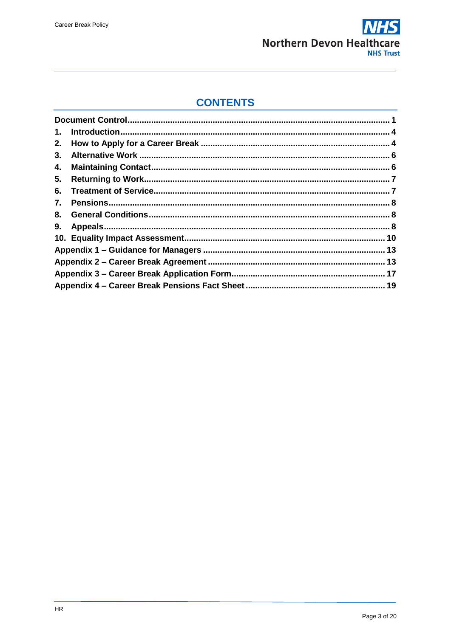

### **CONTENTS**

| 1. |  |
|----|--|
| 2. |  |
| 3. |  |
| 4. |  |
| 5. |  |
| 6. |  |
| 7. |  |
|    |  |
| 9. |  |
|    |  |
|    |  |
|    |  |
|    |  |
|    |  |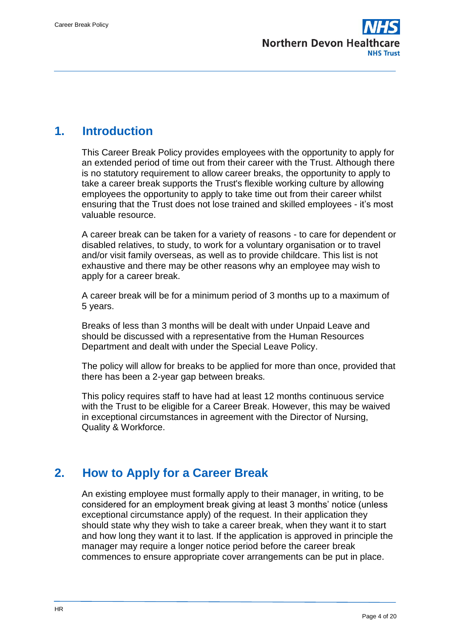

### <span id="page-3-0"></span>**1. Introduction**

This Career Break Policy provides employees with the opportunity to apply for an extended period of time out from their career with the Trust. Although there is no statutory requirement to allow career breaks, the opportunity to apply to take a career break supports the Trust's flexible working culture by allowing employees the opportunity to apply to take time out from their career whilst ensuring that the Trust does not lose trained and skilled employees - it's most valuable resource.

A career break can be taken for a variety of reasons - to care for dependent or disabled relatives, to study, to work for a voluntary organisation or to travel and/or visit family overseas, as well as to provide childcare. This list is not exhaustive and there may be other reasons why an employee may wish to apply for a career break.

A career break will be for a minimum period of 3 months up to a maximum of 5 years.

Breaks of less than 3 months will be dealt with under Unpaid Leave and should be discussed with a representative from the Human Resources Department and dealt with under the Special Leave Policy.

The policy will allow for breaks to be applied for more than once, provided that there has been a 2-year gap between breaks.

This policy requires staff to have had at least 12 months continuous service with the Trust to be eligible for a Career Break. However, this may be waived in exceptional circumstances in agreement with the Director of Nursing, Quality & Workforce.

### <span id="page-3-1"></span>**2. How to Apply for a Career Break**

An existing employee must formally apply to their manager, in writing, to be considered for an employment break giving at least 3 months' notice (unless exceptional circumstance apply) of the request. In their application they should state why they wish to take a career break, when they want it to start and how long they want it to last. If the application is approved in principle the manager may require a longer notice period before the career break commences to ensure appropriate cover arrangements can be put in place.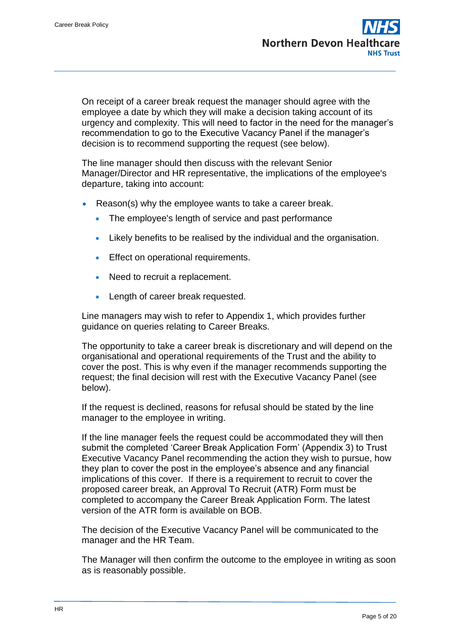On receipt of a career break request the manager should agree with the employee a date by which they will make a decision taking account of its urgency and complexity. This will need to factor in the need for the manager's recommendation to go to the Executive Vacancy Panel if the manager's decision is to recommend supporting the request (see below).

The line manager should then discuss with the relevant Senior Manager/Director and HR representative, the implications of the employee's departure, taking into account:

- Reason(s) why the employee wants to take a career break.
	- The employee's length of service and past performance
	- Likely benefits to be realised by the individual and the organisation.
	- Effect on operational requirements.
	- Need to recruit a replacement.
	- Length of career break requested.

Line managers may wish to refer to Appendix 1, which provides further guidance on queries relating to Career Breaks.

The opportunity to take a career break is discretionary and will depend on the organisational and operational requirements of the Trust and the ability to cover the post. This is why even if the manager recommends supporting the request; the final decision will rest with the Executive Vacancy Panel (see below).

If the request is declined, reasons for refusal should be stated by the line manager to the employee in writing.

If the line manager feels the request could be accommodated they will then submit the completed 'Career Break Application Form' (Appendix 3) to Trust Executive Vacancy Panel recommending the action they wish to pursue, how they plan to cover the post in the employee's absence and any financial implications of this cover. If there is a requirement to recruit to cover the proposed career break, an Approval To Recruit (ATR) Form must be completed to accompany the Career Break Application Form. The latest version of the ATR form is available on BOB.

The decision of the Executive Vacancy Panel will be communicated to the manager and the HR Team.

The Manager will then confirm the outcome to the employee in writing as soon as is reasonably possible.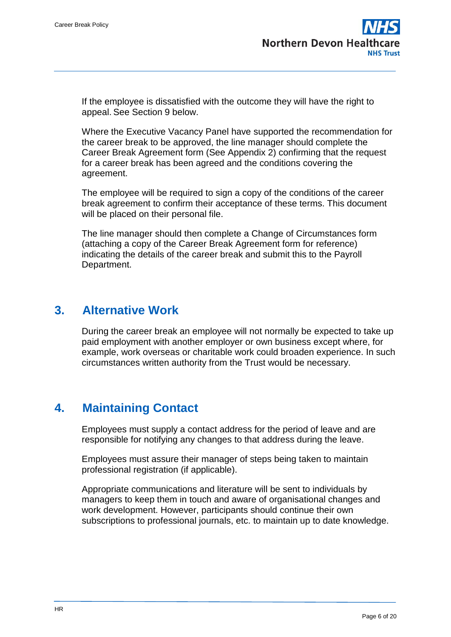If the employee is dissatisfied with the outcome they will have the right to appeal. See Section 9 below.

Where the Executive Vacancy Panel have supported the recommendation for the career break to be approved, the line manager should complete the Career Break Agreement form (See Appendix 2) confirming that the request for a career break has been agreed and the conditions covering the agreement.

The employee will be required to sign a copy of the conditions of the career break agreement to confirm their acceptance of these terms. This document will be placed on their personal file.

The line manager should then complete a Change of Circumstances form (attaching a copy of the Career Break Agreement form for reference) indicating the details of the career break and submit this to the Payroll Department.

### <span id="page-5-0"></span>**3. Alternative Work**

During the career break an employee will not normally be expected to take up paid employment with another employer or own business except where, for example, work overseas or charitable work could broaden experience. In such circumstances written authority from the Trust would be necessary.

# <span id="page-5-1"></span>**4. Maintaining Contact**

Employees must supply a contact address for the period of leave and are responsible for notifying any changes to that address during the leave.

Employees must assure their manager of steps being taken to maintain professional registration (if applicable).

Appropriate communications and literature will be sent to individuals by managers to keep them in touch and aware of organisational changes and work development. However, participants should continue their own subscriptions to professional journals, etc. to maintain up to date knowledge.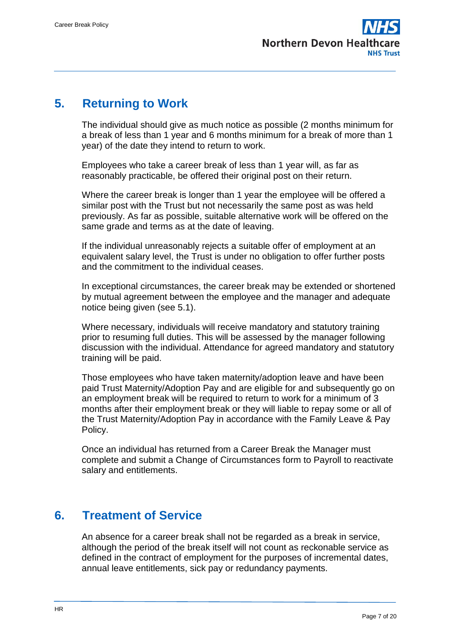

### <span id="page-6-0"></span>**5. Returning to Work**

The individual should give as much notice as possible (2 months minimum for a break of less than 1 year and 6 months minimum for a break of more than 1 year) of the date they intend to return to work.

Employees who take a career break of less than 1 year will, as far as reasonably practicable, be offered their original post on their return.

Where the career break is longer than 1 year the employee will be offered a similar post with the Trust but not necessarily the same post as was held previously. As far as possible, suitable alternative work will be offered on the same grade and terms as at the date of leaving.

If the individual unreasonably rejects a suitable offer of employment at an equivalent salary level, the Trust is under no obligation to offer further posts and the commitment to the individual ceases.

In exceptional circumstances, the career break may be extended or shortened by mutual agreement between the employee and the manager and adequate notice being given (see 5.1).

Where necessary, individuals will receive mandatory and statutory training prior to resuming full duties. This will be assessed by the manager following discussion with the individual. Attendance for agreed mandatory and statutory training will be paid.

Those employees who have taken maternity/adoption leave and have been paid Trust Maternity/Adoption Pay and are eligible for and subsequently go on an employment break will be required to return to work for a minimum of 3 months after their employment break or they will liable to repay some or all of the Trust Maternity/Adoption Pay in accordance with the Family Leave & Pay Policy.

Once an individual has returned from a Career Break the Manager must complete and submit a Change of Circumstances form to Payroll to reactivate salary and entitlements.

### <span id="page-6-1"></span>**6. Treatment of Service**

An absence for a career break shall not be regarded as a break in service, although the period of the break itself will not count as reckonable service as defined in the contract of employment for the purposes of incremental dates, annual leave entitlements, sick pay or redundancy payments.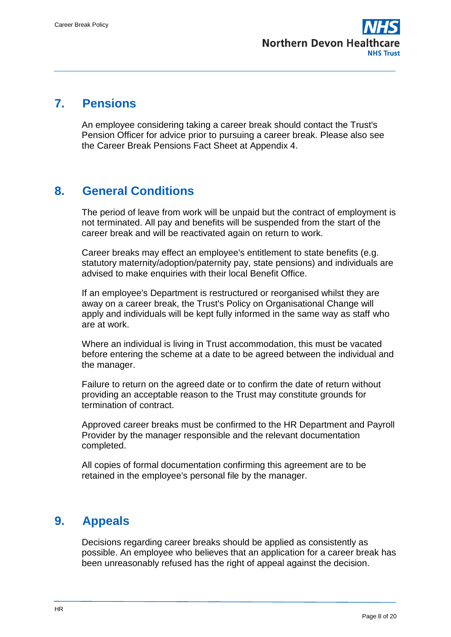

### <span id="page-7-0"></span>**7. Pensions**

An employee considering taking a career break should contact the Trust's Pension Officer for advice prior to pursuing a career break. Please also see the Career Break Pensions Fact Sheet at Appendix 4.

### <span id="page-7-1"></span>**8. General Conditions**

The period of leave from work will be unpaid but the contract of employment is not terminated. All pay and benefits will be suspended from the start of the career break and will be reactivated again on return to work.

Career breaks may effect an employee's entitlement to state benefits (e.g. statutory maternity/adoption/paternity pay, state pensions) and individuals are advised to make enquiries with their local Benefit Office.

If an employee's Department is restructured or reorganised whilst they are away on a career break, the Trust's Policy on Organisational Change will apply and individuals will be kept fully informed in the same way as staff who are at work.

Where an individual is living in Trust accommodation, this must be vacated before entering the scheme at a date to be agreed between the individual and the manager.

Failure to return on the agreed date or to confirm the date of return without providing an acceptable reason to the Trust may constitute grounds for termination of contract.

Approved career breaks must be confirmed to the HR Department and Payroll Provider by the manager responsible and the relevant documentation completed.

All copies of formal documentation confirming this agreement are to be retained in the employee's personal file by the manager.

# <span id="page-7-2"></span>**9. Appeals**

Decisions regarding career breaks should be applied as consistently as possible. An employee who believes that an application for a career break has been unreasonably refused has the right of appeal against the decision.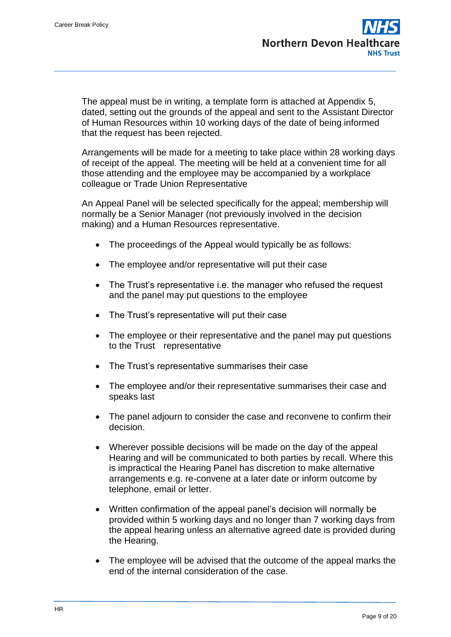The appeal must be in writing, a template form is attached at Appendix 5, dated, setting out the grounds of the appeal and sent to the Assistant Director of Human Resources within 10 working days of the date of being informed that the request has been rejected.

Arrangements will be made for a meeting to take place within 28 working days of receipt of the appeal. The meeting will be held at a convenient time for all those attending and the employee may be accompanied by a workplace colleague or Trade Union Representative

An Appeal Panel will be selected specifically for the appeal; membership will normally be a Senior Manager (not previously involved in the decision making) and a Human Resources representative.

- The proceedings of the Appeal would typically be as follows:
- The employee and/or representative will put their case
- The Trust's representative i.e. the manager who refused the request and the panel may put questions to the employee
- The Trust's representative will put their case
- The employee or their representative and the panel may put questions to the Trust representative
- The Trust's representative summarises their case
- The employee and/or their representative summarises their case and speaks last
- The panel adjourn to consider the case and reconvene to confirm their decision.
- Wherever possible decisions will be made on the day of the appeal Hearing and will be communicated to both parties by recall. Where this is impractical the Hearing Panel has discretion to make alternative arrangements e.g. re-convene at a later date or inform outcome by telephone, email or letter.
- Written confirmation of the appeal panel's decision will normally be provided within 5 working days and no longer than 7 working days from the appeal hearing unless an alternative agreed date is provided during the Hearing.
- The employee will be advised that the outcome of the appeal marks the end of the internal consideration of the case.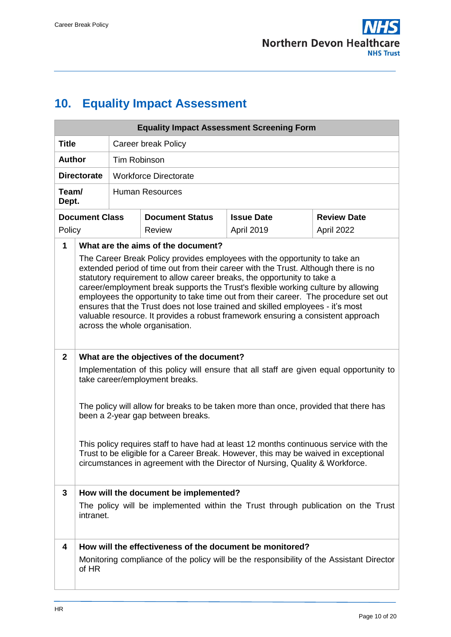

# <span id="page-9-0"></span>**10. Equality Impact Assessment**

|                    | <b>Equality Impact Assessment Screening Form</b>                                                                                                                                                                                                                                                                                                                                                                                                                                                                                                                                                                                |                                                                                               |                                                          |                   |                    |  |  |
|--------------------|---------------------------------------------------------------------------------------------------------------------------------------------------------------------------------------------------------------------------------------------------------------------------------------------------------------------------------------------------------------------------------------------------------------------------------------------------------------------------------------------------------------------------------------------------------------------------------------------------------------------------------|-----------------------------------------------------------------------------------------------|----------------------------------------------------------|-------------------|--------------------|--|--|
| <b>Title</b>       | <b>Career break Policy</b>                                                                                                                                                                                                                                                                                                                                                                                                                                                                                                                                                                                                      |                                                                                               |                                                          |                   |                    |  |  |
| <b>Author</b>      |                                                                                                                                                                                                                                                                                                                                                                                                                                                                                                                                                                                                                                 |                                                                                               | <b>Tim Robinson</b>                                      |                   |                    |  |  |
| <b>Directorate</b> |                                                                                                                                                                                                                                                                                                                                                                                                                                                                                                                                                                                                                                 |                                                                                               | <b>Workforce Directorate</b>                             |                   |                    |  |  |
| Team/<br>Dept.     |                                                                                                                                                                                                                                                                                                                                                                                                                                                                                                                                                                                                                                 |                                                                                               | <b>Human Resources</b>                                   |                   |                    |  |  |
|                    | <b>Document Class</b>                                                                                                                                                                                                                                                                                                                                                                                                                                                                                                                                                                                                           |                                                                                               | <b>Document Status</b>                                   | <b>Issue Date</b> | <b>Review Date</b> |  |  |
| Policy             |                                                                                                                                                                                                                                                                                                                                                                                                                                                                                                                                                                                                                                 |                                                                                               | <b>Review</b>                                            | April 2019        | April 2022         |  |  |
| $\mathbf{1}$       |                                                                                                                                                                                                                                                                                                                                                                                                                                                                                                                                                                                                                                 |                                                                                               | What are the aims of the document?                       |                   |                    |  |  |
|                    | The Career Break Policy provides employees with the opportunity to take an<br>extended period of time out from their career with the Trust. Although there is no<br>statutory requirement to allow career breaks, the opportunity to take a<br>career/employment break supports the Trust's flexible working culture by allowing<br>employees the opportunity to take time out from their career. The procedure set out<br>ensures that the Trust does not lose trained and skilled employees - it's most<br>valuable resource. It provides a robust framework ensuring a consistent approach<br>across the whole organisation. |                                                                                               |                                                          |                   |                    |  |  |
| $\mathbf{2}$       | What are the objectives of the document?                                                                                                                                                                                                                                                                                                                                                                                                                                                                                                                                                                                        |                                                                                               |                                                          |                   |                    |  |  |
|                    | Implementation of this policy will ensure that all staff are given equal opportunity to<br>take career/employment breaks.                                                                                                                                                                                                                                                                                                                                                                                                                                                                                                       |                                                                                               |                                                          |                   |                    |  |  |
|                    |                                                                                                                                                                                                                                                                                                                                                                                                                                                                                                                                                                                                                                 |                                                                                               |                                                          |                   |                    |  |  |
|                    | The policy will allow for breaks to be taken more than once, provided that there has<br>been a 2-year gap between breaks.                                                                                                                                                                                                                                                                                                                                                                                                                                                                                                       |                                                                                               |                                                          |                   |                    |  |  |
|                    | This policy requires staff to have had at least 12 months continuous service with the<br>Trust to be eligible for a Career Break. However, this may be waived in exceptional<br>circumstances in agreement with the Director of Nursing, Quality & Workforce.                                                                                                                                                                                                                                                                                                                                                                   |                                                                                               |                                                          |                   |                    |  |  |
| 3                  | How will the document be implemented?                                                                                                                                                                                                                                                                                                                                                                                                                                                                                                                                                                                           |                                                                                               |                                                          |                   |                    |  |  |
|                    |                                                                                                                                                                                                                                                                                                                                                                                                                                                                                                                                                                                                                                 | The policy will be implemented within the Trust through publication on the Trust<br>intranet. |                                                          |                   |                    |  |  |
| 4                  |                                                                                                                                                                                                                                                                                                                                                                                                                                                                                                                                                                                                                                 |                                                                                               | How will the effectiveness of the document be monitored? |                   |                    |  |  |
|                    | of HR                                                                                                                                                                                                                                                                                                                                                                                                                                                                                                                                                                                                                           | Monitoring compliance of the policy will be the responsibility of the Assistant Director      |                                                          |                   |                    |  |  |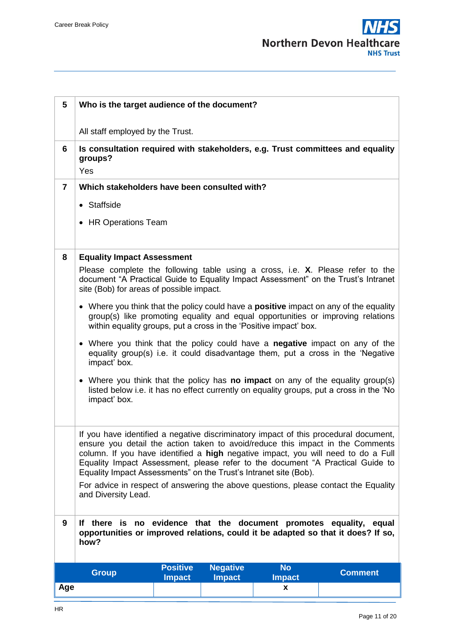

| 5              | Who is the target audience of the document?                                                                                                                                                                                                                                                                                                                                                                                                                                                              |                                  |                                  |                            |                                                                                                                                                                      |
|----------------|----------------------------------------------------------------------------------------------------------------------------------------------------------------------------------------------------------------------------------------------------------------------------------------------------------------------------------------------------------------------------------------------------------------------------------------------------------------------------------------------------------|----------------------------------|----------------------------------|----------------------------|----------------------------------------------------------------------------------------------------------------------------------------------------------------------|
|                | All staff employed by the Trust.                                                                                                                                                                                                                                                                                                                                                                                                                                                                         |                                  |                                  |                            |                                                                                                                                                                      |
| 6              | Is consultation required with stakeholders, e.g. Trust committees and equality<br>groups?<br>Yes                                                                                                                                                                                                                                                                                                                                                                                                         |                                  |                                  |                            |                                                                                                                                                                      |
| $\overline{7}$ | Which stakeholders have been consulted with?                                                                                                                                                                                                                                                                                                                                                                                                                                                             |                                  |                                  |                            |                                                                                                                                                                      |
|                | • Staffside                                                                                                                                                                                                                                                                                                                                                                                                                                                                                              |                                  |                                  |                            |                                                                                                                                                                      |
|                | • HR Operations Team                                                                                                                                                                                                                                                                                                                                                                                                                                                                                     |                                  |                                  |                            |                                                                                                                                                                      |
| 8              | <b>Equality Impact Assessment</b>                                                                                                                                                                                                                                                                                                                                                                                                                                                                        |                                  |                                  |                            |                                                                                                                                                                      |
|                | site (Bob) for areas of possible impact.                                                                                                                                                                                                                                                                                                                                                                                                                                                                 |                                  |                                  |                            | Please complete the following table using a cross, i.e. X. Please refer to the<br>document "A Practical Guide to Equality Impact Assessment" on the Trust's Intranet |
|                | • Where you think that the policy could have a <b>positive</b> impact on any of the equality<br>group(s) like promoting equality and equal opportunities or improving relations<br>within equality groups, put a cross in the 'Positive impact' box.                                                                                                                                                                                                                                                     |                                  |                                  |                            |                                                                                                                                                                      |
|                | Where you think that the policy could have a <b>negative</b> impact on any of the<br>$\bullet$<br>equality group(s) i.e. it could disadvantage them, put a cross in the 'Negative<br>impact' box.                                                                                                                                                                                                                                                                                                        |                                  |                                  |                            |                                                                                                                                                                      |
|                | Where you think that the policy has <b>no impact</b> on any of the equality group(s)<br>$\bullet$<br>listed below i.e. it has no effect currently on equality groups, put a cross in the 'No<br>impact' box.                                                                                                                                                                                                                                                                                             |                                  |                                  |                            |                                                                                                                                                                      |
|                | If you have identified a negative discriminatory impact of this procedural document,<br>ensure you detail the action taken to avoid/reduce this impact in the Comments<br>column. If you have identified a high negative impact, you will need to do a Full<br>Equality Impact Assessment, please refer to the document "A Practical Guide to<br>Equality Impact Assessments" on the Trust's Intranet site (Bob).<br>For advice in respect of answering the above questions, please contact the Equality |                                  |                                  |                            |                                                                                                                                                                      |
|                | and Diversity Lead.                                                                                                                                                                                                                                                                                                                                                                                                                                                                                      |                                  |                                  |                            |                                                                                                                                                                      |
| 9              | If there is no evidence that the document promotes equality,<br>equal<br>opportunities or improved relations, could it be adapted so that it does? If so,<br>how?                                                                                                                                                                                                                                                                                                                                        |                                  |                                  |                            |                                                                                                                                                                      |
|                | <b>Group</b>                                                                                                                                                                                                                                                                                                                                                                                                                                                                                             | <b>Positive</b><br><b>Impact</b> | <b>Negative</b><br><b>Impact</b> | <b>No</b><br><b>Impact</b> | <b>Comment</b>                                                                                                                                                       |
| Age            |                                                                                                                                                                                                                                                                                                                                                                                                                                                                                                          |                                  |                                  | x                          |                                                                                                                                                                      |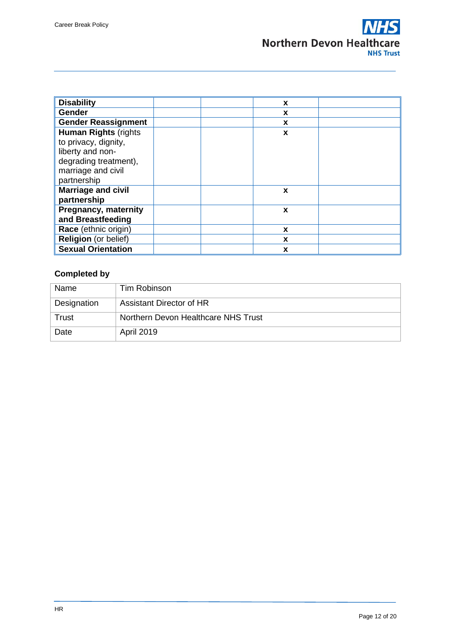| <b>Disability</b>            | X |  |
|------------------------------|---|--|
| <b>Gender</b>                | X |  |
| <b>Gender Reassignment</b>   | X |  |
| <b>Human Rights (rights)</b> | X |  |
| to privacy, dignity,         |   |  |
| liberty and non-             |   |  |
| degrading treatment),        |   |  |
| marriage and civil           |   |  |
| partnership                  |   |  |
| <b>Marriage and civil</b>    | X |  |
| partnership                  |   |  |
| <b>Pregnancy, maternity</b>  | X |  |
| and Breastfeeding            |   |  |
| Race (ethnic origin)         | X |  |
| <b>Religion</b> (or belief)  | X |  |
| <b>Sexual Orientation</b>    | X |  |

### **Completed by**

| Name        | Tim Robinson                        |
|-------------|-------------------------------------|
| Designation | Assistant Director of HR            |
| Trust       | Northern Devon Healthcare NHS Trust |
| Date        | <b>April 2019</b>                   |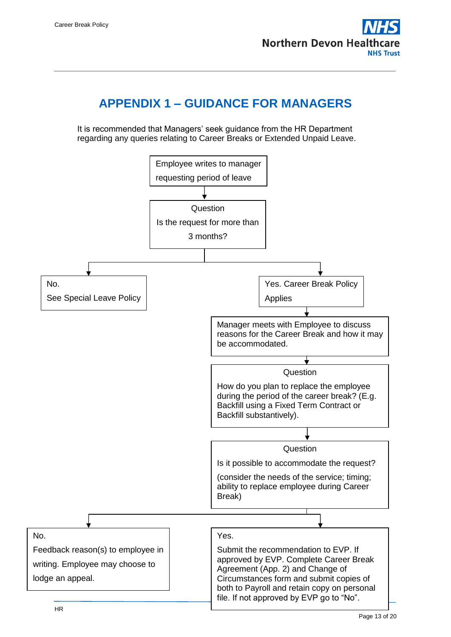

### **APPENDIX 1 – GUIDANCE FOR MANAGERS**

<span id="page-12-0"></span>It is recommended that Managers' seek guidance from the HR Department regarding any queries relating to Career Breaks or Extended Unpaid Leave.

<span id="page-12-1"></span>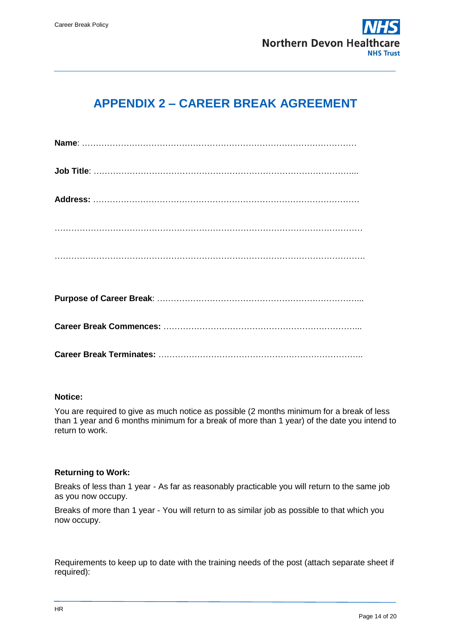

## **APPENDIX 2 – CAREER BREAK AGREEMENT**

### **Notice:**

You are required to give as much notice as possible (2 months minimum for a break of less than 1 year and 6 months minimum for a break of more than 1 year) of the date you intend to return to work.

#### **Returning to Work:**

Breaks of less than 1 year - As far as reasonably practicable you will return to the same job as you now occupy.

Breaks of more than 1 year - You will return to as similar job as possible to that which you now occupy.

Requirements to keep up to date with the training needs of the post (attach separate sheet if required):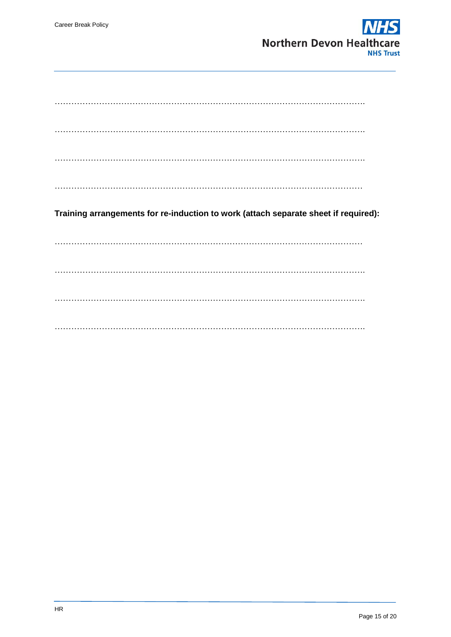

|  |  | Training arrangements for re-induction to work (attach separate sheet if required): |  |
|--|--|-------------------------------------------------------------------------------------|--|
|  |  |                                                                                     |  |
|  |  |                                                                                     |  |
|  |  |                                                                                     |  |
|  |  |                                                                                     |  |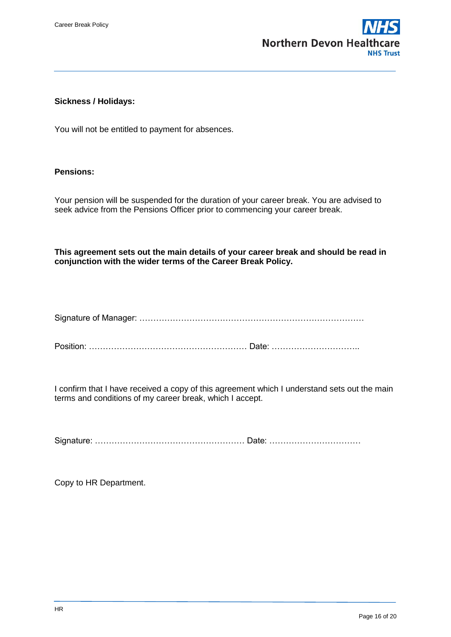

### **Sickness / Holidays:**

You will not be entitled to payment for absences.

### **Pensions:**

Your pension will be suspended for the duration of your career break. You are advised to seek advice from the Pensions Officer prior to commencing your career break.

**This agreement sets out the main details of your career break and should be read in conjunction with the wider terms of the Career Break Policy.**

Signature of Manager: ………………………………………………………………………

Position: ………………………………………………… Date: …………………………..

I confirm that I have received a copy of this agreement which I understand sets out the main terms and conditions of my career break, which I accept.

Signature: ……………………………………………… Date: ……………………………

Copy to HR Department.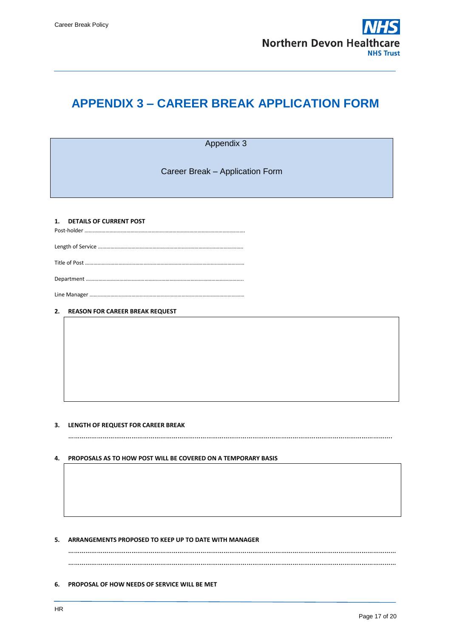

### <span id="page-16-0"></span>**APPENDIX 3 – CAREER BREAK APPLICATION FORM**

Appendix 3

Career Break – Application Form

#### **1. DETAILS OF CURRENT POST** Post-holder …………………………………………………………………………………………………….

Length of Service …………………………………………………………………………………………..

Title of Post ……………………………………………………………………………………………………

Department …………………………………………………………………………………………………..

Line Manager …………………………………………………………………………………………………

#### **2. REASON FOR CAREER BREAK REQUEST**

#### **3. LENGTH OF REQUEST FOR CAREER BREAK**

…………………………………………………………………………………………………………………………………………………….

#### **4. PROPOSALS AS TO HOW POST WILL BE COVERED ON A TEMPORARY BASIS**

#### **5. ARRANGEMENTS PROPOSED TO KEEP UP TO DATE WITH MANAGER**

……………………………………………………………………………………………………………………………………………………… ………………………………………………………………………………………………………………………………………………………

#### **6. PROPOSAL OF HOW NEEDS OF SERVICE WILL BE MET**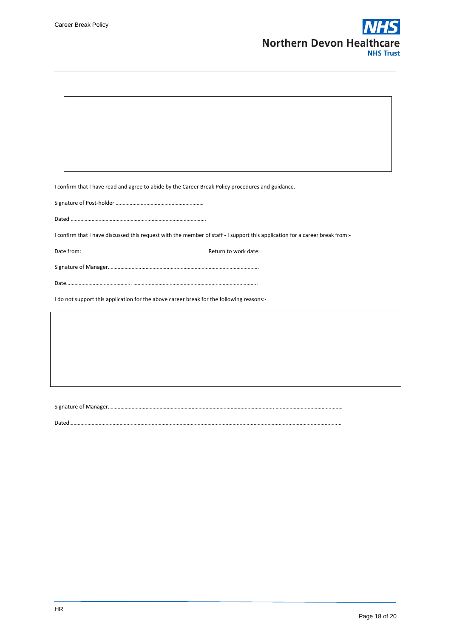$\overline{1}$ 



┑

| I confirm that I have read and agree to abide by the Career Break Policy procedures and guidance.                            |  |  |  |  |
|------------------------------------------------------------------------------------------------------------------------------|--|--|--|--|
|                                                                                                                              |  |  |  |  |
|                                                                                                                              |  |  |  |  |
| I confirm that I have discussed this request with the member of staff - I support this application for a career break from:- |  |  |  |  |
| Date from:<br>Return to work date:                                                                                           |  |  |  |  |
|                                                                                                                              |  |  |  |  |
|                                                                                                                              |  |  |  |  |
| I do not support this application for the above career break for the following reasons:-                                     |  |  |  |  |
|                                                                                                                              |  |  |  |  |
|                                                                                                                              |  |  |  |  |
|                                                                                                                              |  |  |  |  |
|                                                                                                                              |  |  |  |  |
|                                                                                                                              |  |  |  |  |
|                                                                                                                              |  |  |  |  |

Dated……………………………………………………………………………………………………………………………………………………………………………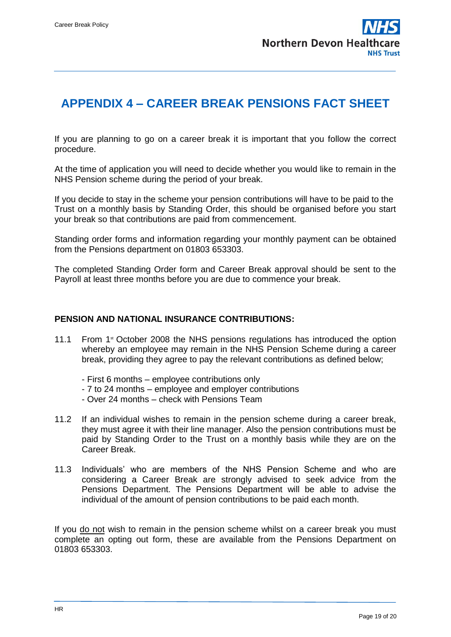

### <span id="page-18-0"></span>**APPENDIX 4 – CAREER BREAK PENSIONS FACT SHEET**

If you are planning to go on a career break it is important that you follow the correct procedure.

At the time of application you will need to decide whether you would like to remain in the NHS Pension scheme during the period of your break.

If you decide to stay in the scheme your pension contributions will have to be paid to the Trust on a monthly basis by Standing Order, this should be organised before you start your break so that contributions are paid from commencement.

Standing order forms and information regarding your monthly payment can be obtained from the Pensions department on 01803 653303.

The completed Standing Order form and Career Break approval should be sent to the Payroll at least three months before you are due to commence your break.

### **PENSION AND NATIONAL INSURANCE CONTRIBUTIONS:**

- 11.1 From  $1<sup>st</sup>$  October 2008 the NHS pensions regulations has introduced the option whereby an employee may remain in the NHS Pension Scheme during a career break, providing they agree to pay the relevant contributions as defined below;
	- First 6 months employee contributions only
	- 7 to 24 months employee and employer contributions
	- Over 24 months check with Pensions Team
- 11.2 If an individual wishes to remain in the pension scheme during a career break, they must agree it with their line manager. Also the pension contributions must be paid by Standing Order to the Trust on a monthly basis while they are on the Career Break.
- 11.3 Individuals' who are members of the NHS Pension Scheme and who are considering a Career Break are strongly advised to seek advice from the Pensions Department. The Pensions Department will be able to advise the individual of the amount of pension contributions to be paid each month.

If you do not wish to remain in the pension scheme whilst on a career break you must complete an opting out form, these are available from the Pensions Department on 01803 653303.